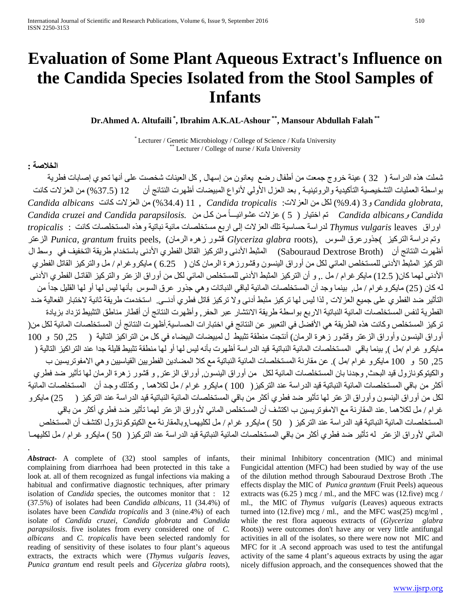# **Evaluation of Some Plant Aqueous Extract's Influence on the Candida Species Isolated from the Stool Samples of Infants**

**Dr.Ahmed A. Altufaili \* , Ibrahim A.K.AL-Ashour \*\*, Mansour Abdullah Falah \*\***

\* Lecturer / Genetic Microbiology / College of Science / Kufa University \*\* Lecturer / College of nurse / Kufa University

# **الخلاصة :**

.

شملت هذه الدراسة ( 32 ) عينة خروج جمعت من أطفال رضع يعانون من إسهال , كل العينات شخصت على أنها تحوي إصابات فطرية بواسطة العمليات التشخيصية التأكيدية والروتينيـة , بعد العزل الأولي لأنواع المبيضات أظهرت النتائج أن 12 (%37.5) من العزلات كانت ,*globrata Candida* و3 (%9.4) لكل من العزلات: *tropicalis Candida* , 11) %34.4 (من العزلات كانت *albicans Candida* ً تم اختيار ( 5 مـن كـل من *.parapsilosis Candida and cruzei Candida Candida* <sup>و</sup>*albicans Candida* (عزلات عشوائيـــا اوراق leaves *vulgaris Thymus* لدراسة حساسية تلك العزلات إلى اربع مستخلصات مائية نباتية وهذه المستخلصات كانت : *tropicalis* وتم دراسة التركيز )جذورعرق السوس ,(roots *glabra Glyceriza* قشور زهره الرمان) ,peels fruits *grantum ,Punica* الزعتر أظهرت النتائج أن (Broth Dextrose Sabouraud (المثبط الأدنى والتركيز القاتل الفطري الأدنى باستخدام طريقة التخفيف في وسط ال التركيز المثبط الأدنى للمستخلص المائي لكل من أوراق الينسون وقشورزهرة الرمان كان ( 6.25 ) مايكروغرام / مل والتركيز القاتل الفطري الأدنى لهما كان( 12.5) مايكرغرام / مل ,. و أن التركيز المثبط الأدنى للمستخلص المائي لكل من أوراق الزعتر والتركيز القاتـل الفطري الأدنى له كان (25) مايكروغرام / مل, بينما وجد أن المستخلصات المائية لباقي النباتات وهي جذور عرق السوس بأنها ليس لها أو لها القليل جداً من التأثير ضد الفطري على جميع العزلات , لذا ليس لها تركيز مثبط أدنى ولا تركيز قاتل فطري أدنــى. استخدمت طريقة ثانية لاختبار الفعالية ضد الفطرية لنفس المستخلصات المائية النباتية الاربع بواسطة طريقة الانتشار عبر الحفر, وأظهرت النتائج أن أقطار مناطق التثبيط تزداد بزيادة تركيز المستخلص وكانت هذه الطريقة هي الأفضل في التعبير عن النتائج في اختبارات الحساسية.أظهرت النتائج أن المستخلصات المائية لكل من( أوراق الينسون وأوراق الزعتر وقشور زهرة الرمان) أنتجت منطقة تثبيط ل لمبيضات البيضاء في كل من التراكيز التالية ( ,25 50 و 100 مايكرو غرام /مل ), بينما باقي المستخلصات المائية النباتية قيد الدراسة أظهرت بأنه ليس لها أو لها منطقة تثبيط قليلة جدا عند التراكيز التالية ( ,25 50 و 100 مايكرو غرام /مل ). عن مقارنة المستخلصات المائية النباتية مع كلا المضادين الفطريين القياسيين وهي الامفوتريسين ب والكيتوكونازول قيد البحث, وجدنا بان المستخلصات المائية لكل من أوراق الينسون, أوراق الزعتر, و قشور زهرة الرمان لها تأثير ضد فطري أكثر من باقي المستخلصات المائية النباتية قيد الدراسة عند التركيز( 100 ) مايكرو غرام / مل لكلاهما , وكذلك وجـد أن المستخلصات المائية لكل من أوراق الينسون وأوراق الزعتر لها تأثير ضد فطري أكثر من باقي المستخلصات المائية النباتية قيد الدراسة عند التركيز ( 25) مايكرو غرام / مل لكلاهما .عند المقارنة مع الامفوتريسين ب اكتشف أن المستخلص المائي لأوراق الزعتر لهما تأثير ضد فطري أكثر من باقي المستخلصات المائية النباتية قيد الدراسة عند التركيز ( 50 ) مايكرو غرام / مل لكليهمـا,وبالمقارنة مع الكيتوكونازول اكتشف أن المستخلص المائي لأوراق الزعتر له تأثير ضد فطري أكثر من باقي المستخلصات المائية النباتية قيد الدراسة عند التركيز( 50 ) مايكرو غرام / مل لكليهمـا

*Abstract***-** A complete of (32) stool samples of infants, complaining from diarrhoea had been protected in this take a look at. all of them recognized as fungal infections via making a habitual and confirmative diagnostic techniques, after primary isolation of *Candida* species, the outcomes monitor that : 12 (37.5%) of isolates had been *Candida albicans*, 11 (34.4%) of isolates have been *Candida tropicalis* and 3 (nine.4%) of each isolate of *Candida cruzei*, *Candida globrata* and *Candida parapsilosis*. five isolates from every considered one of *C. albicans* and *C. tropicalis* have been selected randomly for reading of sensitivity of these isolates to four plant's aqueous extracts, the extracts which were (*Thymus vulgaris leaves*, *Punica grantum* end result peels and *Glyceriza glabra* roots), their minimal Inhibitory concentration (MIC) and minimal Fungicidal attention (MFC) had been studied by way of the use of the dilution method through Sabouraud Dextrose Broth .The effects display the MIC of *Punica grantum* (Fruit Peels) aqueous extracts was  $(6.25)$  mcg / ml., and the MFC was  $(12 \text{.}$ five) mcg / ml., the MIC of *Thymus vulgaris* (Leaves) aqueous extracts turned into (12.five) mcg / ml., and the MFC was(25) mcg/ml , while the rest flora aqueous extracts of (*Glyceriza glabra* Roots)) were outcomes don't have any or very little antifungal activities in all of the isolates, so there were now not MIC and MFC for it .A second approach was used to test the antifungal activity of the same 4 plant's aqueous extracts by using the agar nicely diffusion approach, and the consequences showed that the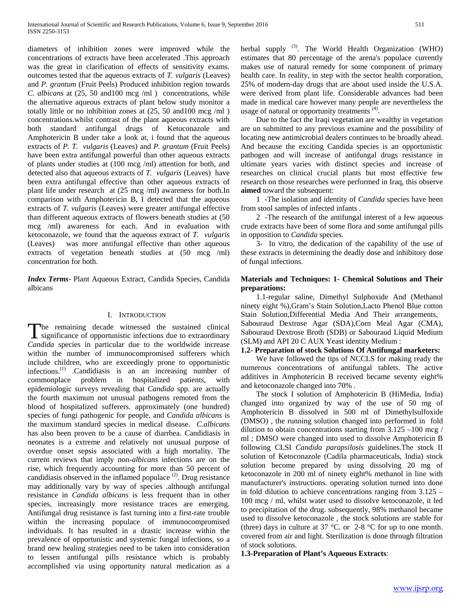diameters of inhibition zones were improved while the concentrations of extracts have been accelerated .This approach was the great in clarification of effects of sensitivity exams. outcomes tested that the aqueous extracts of *T. vulgaris* (Leaves) and *P. grantum* (Fruit Peels) Produced inhibition region towards *C. albicans* at (25, 50 and100 mcg /ml ) concentrations, while the alternative aqueous extracts of plant below study monitor a totally little or no inhibition zones at (25, 50 and100 mcg /ml ) concentrations.whilst contrast of the plant aqueous extracts with both standard antifungal drugs of Ketoconazole and Amphotericin B under take a look at, i found that the aqueous extracts of *P. T. vulgaris* (Leaves) and *P. grantum* (Fruit Peels) have been extra antifungal powerful than other aqueous extracts of plants under studies at (100 mcg /ml) attention for both, and detected also that aqueous extracts of *T. vulgaris* (Leaves) have been extra antifungal effective than other aqueous extracts of plant life under research at (25 mcg /ml) awareness for both.In comparison with Amphotericin B, I detected that the aqueous extracts of *T. vulgaris* (Leaves) were greater antifungal effective than different aqueous extracts of flowers beneath studies at (50 mcg /ml) awareness for each. And in evaluation with ketoconazole, we found that the aqueous extract of *T. vulgaris* (Leaves) was more antifungal effective than other aqueous extracts of vegetation beneath studies at  $(50 \text{ meg } / \text{ml})$ concentration for both.

*Index Terms*- Plant Aqueous Extract, Candida Species, Candida albicans

## I. INTRODUCTION

he remaining decade witnessed the sustained clinical The remaining decade witnessed the sustained clinical<br>significance of opportunistic infections due to extraordinary *Candida* species in particular due to the worldwide increase within the number of immunocompromised sufferers which include children, who are exceedingly prone to opportunistic infections.<sup>(1)</sup> .Candidiasis is an an increasing number of commonplace problem in hospitalized patients, with epidemiologic surveys revealing that *Candida* spp. are actually the fourth maximum not unusual pathogens remoted from the blood of hospitalized sufferers. approximately (one hundred) species of fungi pathogenic for people, and *Candida albicans* is the maximum standard species in medical disease. *C.albicans* has also been proven to be a cause of diarrhea. Candidiasis in neonates is a extreme and relatively not unusual purpose of overdue onset sepsis associated with a high mortality. The current reviews that imply non-*albicans* infections are on the rise, which frequently accounting for more than 50 percent of candidiasis observed in the inflamed populace<sup>(2)</sup>. Drug resistance may additionally vary by way of species .although antifungal resistance in *Candida albicans* is less frequent than in other species, increasingly more resistance traces are emerging. Antifungal drug resistance is fast turning into a first-rate trouble within the increasing populace of immunocompromised individuals. It has resulted in a drastic increase within the prevalence of opportunistic and systemic fungal infections, so a brand new healing strategies need to be taken into consideration to lessen antifungal pills resistance which is probably accomplished via using opportunity natural medication as a

herbal supply <sup>(3)</sup>. The World Health Organization (WHO) estimates that 80 percentage of the arena's populace currently makes use of natural remedy for some component of primary health care. In reality, in step with the sector health corporation, 25% of modern-day drugs that are about used inside the U.S.A. were derived from plant life. Considerable advances had been made in medical care however many people are nevertheless the usage of natural or opportunity treatments<sup>(4)</sup>.

 Due to the fact the Iraqi vegetation are wealthy in vegetation are un submitted to any previous examine and the possibility of locating new antimicrobial dealers continues to be broadly ahead. And because the exciting Candida species is an opportunistic pathogen and will increase of antifungal drugs resistance in ultimate years varies with distinct species and increase of researches on clinical crucial plants but most effective few research on those researches were performed in Iraq, this observe **aimed** toward the subsequent:

 1 -The isolation and identity of *Candida* species have been from stool samples of infected infants .

 2 -The research of the antifungal interest of a few aqueous crude extracts have been of some flora and some antifungal pills in opposition to *Candida* species.

 3- In vitro, the dedication of the capability of the use of these extracts in determining the deadly dose and inhibitory dose of fungal infections.

## **Materials and Techniques: 1- Chemical Solutions and Their preparations:**

 1.1-regular saline, Dimethyl Sulphoxide And (Methanol ninety eight %),Gram's Stain Solution,Lacto Phenol Blue cotton Stain Solution,Differential Media And Their arrangements, Sabouraud Dextrose Agar (SDA),Corn Meal Agar (CMA), Sabouraud Dextrose Broth (SDB) or Sabouraud Liquid Medium (SLM) and API 20 C AUX Yeast identity Medium :

## **1.2- Preparation of stock Solutions Of Antifungal marketers:**

 We have followed the tips of NCCLS for making ready the numerous concentrations of antifungal tablets. The active additives in Amphotericin B received became seventy eight% and ketoconazole changed into 70% .

 The stock I solution of Amphotericin B (HiMedia, India) changed into organized by way of the use of 50 mg of Amphotericin B dissolved in 500 ml of Dimethylsulfoxide (DMSO) , the running solution changed into performed in fold dilution to obtain concentrations starting from  $3.125 - 100$  mcg / ml ; DMSO were changed into used to dissolve Amphotericin B following CLSI *Candida parapsilosis* guidelines.The stock II solution of Ketoconazole (Cadila pharmaceuticals, India) stock solution become prepared by using dissolving 20 mg of ketoconazole in 200 ml of ninety eight% methanol in line with manufacturer's instructions. operating solution turned into done in fold dilution to achieve concentrations ranging from 3.125 – 100 mcg / ml, whilst water used to dissolve ketoconazole, it led to precipitation of the drug. subsequently, 98% methanol became used to dissolve ketoconazole , the stock solutions are stable for (three) days in culture at 37 °C. or 2-8 °C for up to one month. covered from air and light. Sterilization is done through filtration of stock solutions.

**1.3-Preparation of Plant's Aqueous Extracts**: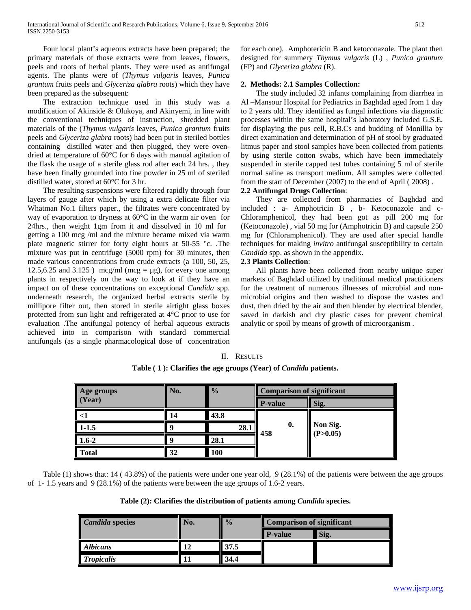Four local plant's aqueous extracts have been prepared; the primary materials of those extracts were from leaves, flowers, peels and roots of herbal plants. They were used as antifungal agents. The plants were of (*Thymus vulgaris* leaves, *Punica grantum* fruits peels and *Glyceriza glabra* roots) which they have been prepared as the subsequent:

 The extraction technique used in this study was a modification of Akinside & Olukoya, and Akinyemi, in line with the conventional techniques of instruction, shredded plant materials of the (*Thymus vulgaris* leaves, *Punica grantum* fruits peels and *Glyceriza glabra* roots) had been put in steriled bottles containing distilled water and then plugged, they were ovendried at temperature of 60°C for 6 days with manual agitation of the flask the usage of a sterile glass rod after each 24 hrs. , they have been finally grounded into fine powder in 25 ml of steriled distilled water, stored at 60°C for 3 hr.

 The resulting suspensions were filtered rapidly through four layers of gauge after which by using a extra delicate filter via Whatman No.1 filters paper., the filtrates were concentrated by way of evaporation to dryness at 60°C in the warm air oven for 24hrs., then weight 1gm from it and dissolved in 10 ml for getting a 100 mcg /ml and the mixture became mixed via warm plate magnetic stirrer for forty eight hours at 50-55 °c. .The mixture was put in centrifuge (5000 rpm) for 30 minutes, then made various concentrations from crude extracts (a 100, 50, 25, 12.5,6.25 and 3.125 ) mcg/ml (mcg =  $\mu$ g), for every one among plants in respectively on the way to look at if they have an impact on of these concentrations on exceptional *Candida* spp. underneath research, the organized herbal extracts sterile by millipore filter out, then stored in sterile airtight glass boxes protected from sun light and refrigerated at 4°C prior to use for evaluation .The antifungal potency of herbal aqueous extracts achieved into in comparison with standard commercial antifungals (as a single pharmacological dose of concentration

for each one). Amphotericin B and ketoconazole. The plant then designed for summery *Thymus vulgaris* (L) , *Punica grantum* (FP) and *Glyceriza glabra* (R).

## **2. Methods: 2.1 Samples Collection:**

 The study included 32 infants complaining from diarrhea in Al –Mansour Hospital for Pediatrics in Baghdad aged from 1 day to 2 years old. They identified as fungal infections via diagnostic processes within the same hospital's laboratory included G.S.E. for displaying the pus cell, R.B.Cs and budding of Monillia by direct examination and determination of pH of stool by graduated litmus paper and stool samples have been collected from patients by using sterile cotton swabs, which have been immediately suspended in sterile capped test tubes containing 5 ml of sterile normal saline as transport medium. All samples were collected from the start of December (2007) to the end of April ( 2008) .

## **2.2 Antifungal Drugs Collection**:

 They are collected from pharmacies of Baghdad and included : a- Amphotricin B , b- Ketoconazole and c-Chloramphenicol, they had been got as pill 200 mg for (Ketoconazole) , vial 50 mg for (Amphotricin B) and capsule 250 mg for (Chloramphenicol). They are used after special handle techniques for making *invitro* antifungal susceptibility to certain *Candida* spp. as shown in the appendix.

# **2.3 Plants Collection**:

 All plants have been collected from nearby unique super markets of Baghdad utilized by traditional medical practitioners for the treatment of numerous illnesses of microbial and nonmicrobial origins and then washed to dispose the wastes and dust, then dried by the air and then blender by electrical blender, saved in darkish and dry plastic cases for prevent chemical analytic or spoil by means of growth of microorganism .

#### **Age groups (Year) No. % Comparison of significant P-value Sig. <1 14 43.8 0. 458 Non Sig. (P>0.05) 1-1.5 9 28.1 1.6-2 9 28.1 Total 32 100**

**Table ( 1 ): Clarifies the age groups (Year) of** *Candida* **patients.**

II. RESULTS

 Table (1) shows that: 14 ( 43.8%) of the patients were under one year old, 9 (28.1%) of the patients were between the age groups of 1- 1.5 years and 9 (28.1%) of the patients were between the age groups of 1.6-2 years.

**Table (2): Clarifies the distribution of patients among** *Candida* **species.**

| <b>Candida species</b> | Vо. | $\frac{0}{0}$ | <b>Comparison of significant</b> |      |  |
|------------------------|-----|---------------|----------------------------------|------|--|
|                        |     |               | <b>P-value</b>                   | Sig. |  |
| <b>Albicans</b>        |     | 37.5          |                                  |      |  |
| <b>Tropicalis</b>      |     | 34.4          |                                  |      |  |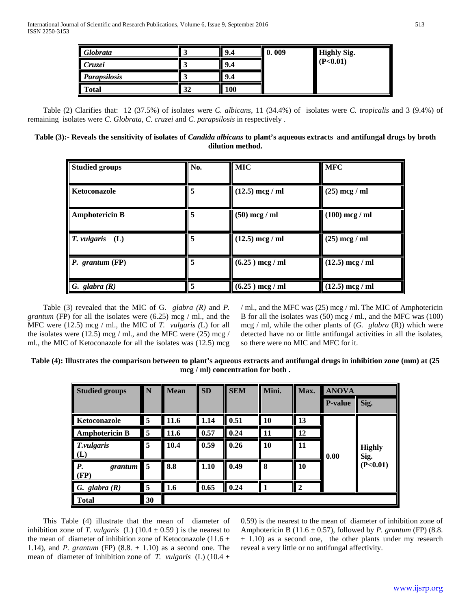| Globrata      |    | 9.4 | 0.009 | <b>Highly Sig.</b> |
|---------------|----|-----|-------|--------------------|
| <i>Cruzei</i> |    | 9.4 |       | (P<0.01)           |
| Parapsilosis  |    | 9.4 |       |                    |
| Total         | 32 | 100 |       |                    |

 Table (2) Clarifies that: 12 (37.5%) of isolates were *C. albicans*, 11 (34.4%) of isolates were *C. tropicalis* and 3 (9.4%) of remaining isolates were *C. Globrata*, *C. cruzei* and *C. parapsilosis* in respectively .

## **Table (3):- Reveals the sensitivity of isolates of** *Candida albicans* **to plant's aqueous extracts and antifungal drugs by broth dilution method.**

| <b>Studied groups</b> | No. | <b>MIC</b>        | <b>MFC</b>        |
|-----------------------|-----|-------------------|-------------------|
| Ketoconazole          | 5   | $(12.5)$ mcg / ml | $(25)$ mcg / ml   |
| <b>Amphotericin B</b> | 5   | $(50)$ mcg / ml   | $(100)$ mcg / ml  |
| T. vulgaris<br>(L)    | 5   | $(12.5)$ mcg / ml | $(25)$ mcg / ml   |
| $P.$ grantum $(FP)$   | 5   | $(6.25)$ mcg / ml | $(12.5)$ mcg / ml |
| G. glabra $(R)$       | 5   | $(6.25)$ mcg / ml | $(12.5)$ mcg / ml |

 Table (3) revealed that the MIC of G. *glabra (R)* and *P. grantum* (FP) for all the isolates were (6.25) mcg / ml., and the MFC were (12.5) mcg / ml., the MIC of *T. vulgaris (*L) for all the isolates were  $(12.5)$  mcg / ml., and the MFC were  $(25)$  mcg / ml., the MIC of Ketoconazole for all the isolates was (12.5) mcg

/ ml., and the MFC was (25) mcg / ml. The MIC of Amphotericin B for all the isolates was (50) mcg / ml., and the MFC was (100) mcg / ml, while the other plants of (*G. glabra* (R)) which were detected have no or little antifungal activities in all the isolates, so there were no MIC and MFC for it.

**Table (4): Illustrates the comparison between to plant's aqueous extracts and antifungal drugs in inhibition zone (mm) at (25 mcg / ml) concentration for both .**

| <b>Studied groups</b>                 | N              | <b>Mean</b> | <b>SD</b> | <b>SEM</b> | Mini.         | Max.             | <b>ANOVA</b>   |                                   |
|---------------------------------------|----------------|-------------|-----------|------------|---------------|------------------|----------------|-----------------------------------|
|                                       |                |             |           |            |               |                  | <b>P-value</b> | Sig.                              |
| Ketoconazole                          | 5              | 11.6        | 1.14      | 0.51       | <b>10</b>     | 13               | 0.00           | <b>Highly</b><br>Sig.<br>(P<0.01) |
| <b>Amphotericin B</b>                 | 5              | 11.6        | 0.57      | 0.24       | 11            | 12               |                |                                   |
| T.vulgaris<br>(L)                     | 5              | 10.4        | 0.59      | 0.26       | <b>10</b>     | 11               |                |                                   |
| $\boldsymbol{P}$ .<br>grantum<br>(FP) | 5              | 8.8         | 1.10      | 0.49       | 8             | 10               |                |                                   |
| G. glabra $(R)$                       | $\overline{5}$ | 1.6         | 0.65      | 0.24       | $^{\prime}$ 1 | $\boldsymbol{2}$ |                |                                   |
| <b>Total</b>                          | 30             |             |           |            |               |                  |                |                                   |

 This Table (4) illustrate that the mean of diameter of inhibition zone of *T. vulgaris* (L) (10.4  $\pm$  0.59) is the nearest to the mean of diameter of inhibition zone of Ketoconazole (11.6  $\pm$ 1.14), and *P. grantum* (FP) (8.8. ± 1.10) as a second one. The mean of diameter of inhibition zone of *T. vulgaris* (L) (10.4  $\pm$ 

0.59) is the nearest to the mean of diameter of inhibition zone of Amphotericin B  $(11.6 \pm 0.57)$ , followed by *P. grantum* (FP)  $(8.8.$  $\pm$  1.10) as a second one, the other plants under my research reveal a very little or no antifungal affectivity.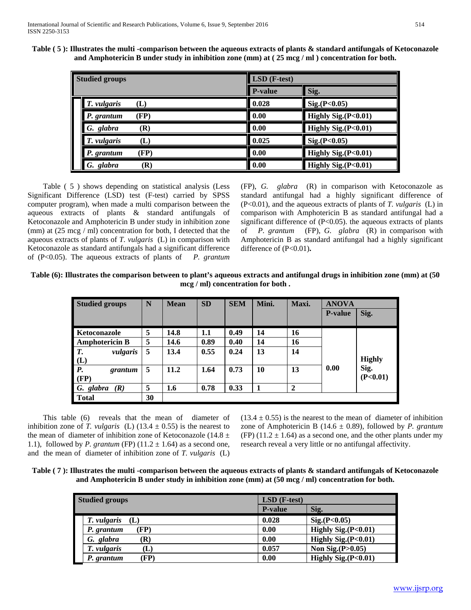**Table ( 5 ): Illustrates the multi -comparison between the aqueous extracts of plants & standard antifungals of Ketoconazole and Amphotericin B under study in inhibition zone (mm) at ( 25 mcg / ml ) concentration for both.**

| <b>Studied groups</b> |                | $LSD$ (F-test) |                     |  |  |  |
|-----------------------|----------------|----------------|---------------------|--|--|--|
|                       |                | <b>P-value</b> | Sig.                |  |  |  |
| T. vulgaris<br>(L)    |                | 0.028          | Sig.(P<0.05)        |  |  |  |
| (FP)<br>P. grantum    |                | 0.00           | Highly Sig.(P<0.01) |  |  |  |
| G. glabra             | $(\mathbf{R})$ | 0.00           | Highly Sig.(P<0.01) |  |  |  |
| T. vulgaris           | $(\mathbf{L})$ | 0.025          | Sig.(P<0.05)        |  |  |  |
| P. grantum            | (FP            | 0.00           | Highly Sig.(P<0.01) |  |  |  |
| G. glabra             | (R)            | 0.00           | Highly Sig.(P<0.01) |  |  |  |

 Table ( 5 ) shows depending on statistical analysis (Less Significant Difference (LSD) test (F-test) carried by SPSS computer program), when made a multi comparison between the aqueous extracts of plants & standard antifungals of Ketoconazole and Amphotericin B under study in inhibition zone (mm) at (25 mcg / ml) concentration for both, I detected that the aqueous extracts of plants of *T. vulgaris* (L) in comparison with Ketoconazole as standard antifungals had a significant difference of (P<0.05). The aqueous extracts of plants of *P. grantum*  (FP), *G. glabra* (R) in comparison with Ketoconazole as standard antifungal had a highly significant difference of (P<0.01), and the aqueous extracts of plants of *T. vulgaris* (L) in comparison with Amphotericin B as standard antifungal had a significant difference of  $(P<0.05)$ . the aqueous extracts of plants of *P. grantum* (FP), *G. glabra* (R) in comparison with Amphotericin B as standard antifungal had a highly significant difference of (P<0.01)**.**

**Table (6): Illustrates the comparison between to plant's aqueous extracts and antifungal drugs in inhibition zone (mm) at (50 mcg / ml) concentration for both .**

| <b>Studied groups</b>        | N  | <b>Mean</b> | <b>SD</b> | <b>SEM</b> | Mini. | Maxi.        | <b>ANOVA</b>    |                                   |
|------------------------------|----|-------------|-----------|------------|-------|--------------|-----------------|-----------------------------------|
|                              |    |             |           |            |       |              | <b>P</b> -value | Sig.                              |
| <b>Ketoconazole</b>          | 5  | 14.8        | 1.1       | 0.49       | 14    | 16           |                 |                                   |
| <b>Amphotericin B</b>        | 5  | 14.6        | 0.89      | 0.40       | 14    | 16           | 0.00            | <b>Highly</b><br>Sig.<br>(P<0.01) |
| $\overline{T}$ .<br>vulgaris | 5  | 13.4        | 0.55      | 0.24       | 13    | 14           |                 |                                   |
| $(L)$<br>$P.$                |    |             |           |            |       |              |                 |                                   |
| grantum                      | 5  | 11.2        | 1.64      | 0.73       | 10    | 13           |                 |                                   |
| (FP)                         |    |             |           |            |       |              |                 |                                   |
| G. glabra<br>(R)             | 5  | 1.6         | 0.78      | 0.33       | 1     | $\mathbf{2}$ |                 |                                   |
| Total                        | 30 |             |           |            |       |              |                 |                                   |

 This table (6) reveals that the mean of diameter of inhibition zone of *T. vulgaris* (L) (13.4  $\pm$  0.55) is the nearest to the mean of diameter of inhibition zone of Ketoconazole (14.8  $\pm$ 1.1), followed by *P. grantum* (FP)  $(11.2 \pm 1.64)$  as a second one, and the mean of diameter of inhibition zone of *T. vulgaris* (L)  $(13.4 \pm 0.55)$  is the nearest to the mean of diameter of inhibition zone of Amphotericin B (14.6 ± 0.89), followed by *P. grantum* (FP)  $(11.2 \pm 1.64)$  as a second one, and the other plants under my research reveal a very little or no antifungal affectivity.

**Table ( 7 ): Illustrates the multi -comparison between the aqueous extracts of plants & standard antifungals of Ketoconazole and Amphotericin B under study in inhibition zone (mm) at (50 mcg / ml) concentration for both.**

| <b>Studied groups</b>         | $LSD$ (F-test) |                        |  |  |
|-------------------------------|----------------|------------------------|--|--|
|                               | <b>P-value</b> | Sig.                   |  |  |
| T. vulgaris<br>(L)            | 0.028          | Sig.(P<0.05)           |  |  |
| (FP)<br>P. grantum            | 0.00           | Highly Sig. $(P<0.01)$ |  |  |
| G. glabra<br>(R)              | 0.00           | Highly Sig. $(P<0.01)$ |  |  |
| T. vulgaris<br>$(\mathbf{L})$ | 0.057          | Non Sig. $(P>0.05)$    |  |  |
| (FP)<br>P. grantum            | 0.00           | Highly Sig.(P<0.01)    |  |  |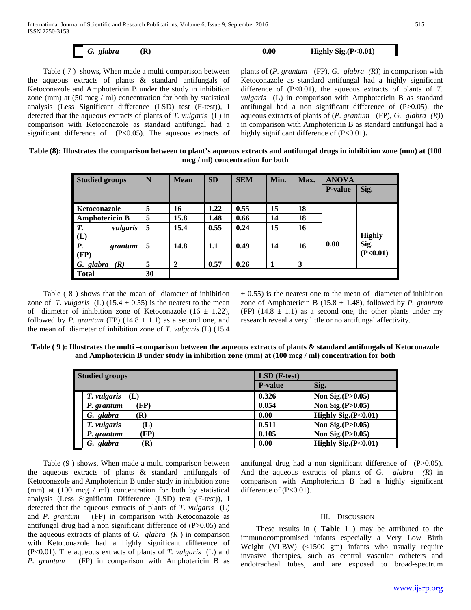| $<\!\!0.01$<br>0.00<br>(R)<br>≀.(P<br>-----<br><i>alahva</i><br>810<br>. .<br>י יי<br>.<br><br>ັ |
|--------------------------------------------------------------------------------------------------|
|--------------------------------------------------------------------------------------------------|

 Table ( 7 ) shows, When made a multi comparison between the aqueous extracts of plants & standard antifungals of Ketoconazole and Amphotericin B under the study in inhibition zone (mm) at (50 mcg / ml) concentration for both by statistical analysis (Less Significant difference (LSD) test (F-test)), I detected that the aqueous extracts of plants of *T. vulgaris* (L) in comparison with Ketoconazole as standard antifungal had a significant difference of (P<0.05). The aqueous extracts of plants of (*P. grantum* (FP), *G. glabra (R)*) in comparison with Ketoconazole as standard antifungal had a highly significant difference of  $(P<0.01)$ , the aqueous extracts of plants of *T*. *vulgaris* (L) in comparison with Amphotericin B as standard antifungal had a non significant difference of (P>0.05). the aqueous extracts of plants of (*P. grantum* (FP), *G. glabra (R)*) in comparison with Amphotericin B as standard antifungal had a highly significant difference of (P<0.01).

## **Table (8): Illustrates the comparison between to plant's aqueous extracts and antifungal drugs in inhibition zone (mm) at (100 mcg / ml) concentration for both**

| <b>Studied groups</b>     | N  | <b>Mean</b>    | <b>SD</b> | <b>SEM</b> | Min. | Max. | <b>ANOVA</b>   |               |
|---------------------------|----|----------------|-----------|------------|------|------|----------------|---------------|
|                           |    |                |           |            |      |      | <b>P-value</b> | Sig.          |
|                           |    |                |           |            |      |      |                |               |
| Ketoconazole              | 5  | 16             | 1.22      | 0.55       | 15   | 18   |                |               |
| <b>Amphotericin B</b>     | 5  | 15.8           | 1.48      | 0.66       | 14   | 18   |                |               |
| $\mathbf{r}$<br>vulgaris  | 5  | 15.4           | 0.55      | 0.24       | 15   | 16   |                |               |
| (L)                       |    |                |           |            |      |      |                | <b>Highly</b> |
| $\mathbf{P}$ .<br>grantum | 5  | 14.8           | 1.1       | 0.49       | 14   | 16   | 0.00           | Sig.          |
| (FP)                      |    |                |           |            |      |      |                | (P<0.01)      |
| G. glabra<br>(R)          | 5  | $\overline{2}$ | 0.57      | 0.26       |      | 3    |                |               |
| <b>Total</b>              | 30 |                |           |            |      |      |                |               |

 Table ( 8 ) shows that the mean of diameter of inhibition zone of *T. vulgaris* (L) (15.4  $\pm$  0.55) is the nearest to the mean of diameter of inhibition zone of Ketoconazole (16  $\pm$  1.22), followed by *P. grantum* (FP)  $(14.8 \pm 1.1)$  as a second one, and the mean of diameter of inhibition zone of *T. vulgaris* (L) (15.4

 $+ 0.55$ ) is the nearest one to the mean of diameter of inhibition zone of Amphotericin B (15.8 ± 1.48), followed by *P. grantum* (FP)  $(14.8 \pm 1.1)$  as a second one, the other plants under my research reveal a very little or no antifungal affectivity.

| Table $(9)$ : Illustrates the multi –comparison between the aqueous extracts of plants & standard antifungals of Ketoconazole |
|-------------------------------------------------------------------------------------------------------------------------------|
| and Amphotericin B under study in inhibition zone (mm) at $(100 \text{ mg/m})$ concentration for both                         |

| <b>Studied groups</b> | $LSD$ (F-test) |                     |  |  |
|-----------------------|----------------|---------------------|--|--|
|                       | <b>P-value</b> | Sig.                |  |  |
| T. vulgaris<br>(L)    | 0.326          | Non Sig. $(P>0.05)$ |  |  |
| (FP)<br>P. grantum    | 0.054          | Non Sig. $(P>0.05)$ |  |  |
| G. glabra<br>(R)      | 0.00           | Highly Sig.(P<0.01) |  |  |
| T. vulgaris<br>(L)    | 0.511          | Non Sig. $(P>0.05)$ |  |  |
| (FP)<br>P. grantum    | 0.105          | Non Sig.(P>0.05)    |  |  |
| G. glabra<br>R)       | 0.00           | Highly Sig.(P<0.01) |  |  |

 Table (9 ) shows, When made a multi comparison between the aqueous extracts of plants & standard antifungals of Ketoconazole and Amphotericin B under study in inhibition zone (mm) at (100 mcg / ml) concentration for both by statistical analysis (Less Significant Difference (LSD) test (F-test)), I detected that the aqueous extracts of plants of *T. vulgaris* (L) and *P. grantum* (FP) in comparison with Ketoconazole as antifungal drug had a non significant difference of (P>0.05) and the aqueous extracts of plants of *G. glabra*  $(R)$  in comparison with Ketoconazole had a highly significant difference of (P<0.01). The aqueous extracts of plants of *T. vulgaris* (L) and *P. grantum* (FP) in comparison with Amphotericin B as antifungal drug had a non significant difference of (P>0.05). And the aqueous extracts of plants of *G. glabra (R)* in comparison with Amphotericin B had a highly significant difference of (P<0.01).

## III. DISCUSSION

 These results in **( Table 1 )** may be attributed to the immunocompromised infants especially a Very Low Birth Weight (VLBW) (<1500 gm) infants who usually require invasive therapies, such as central vascular catheters and endotracheal tubes, and are exposed to broad-spectrum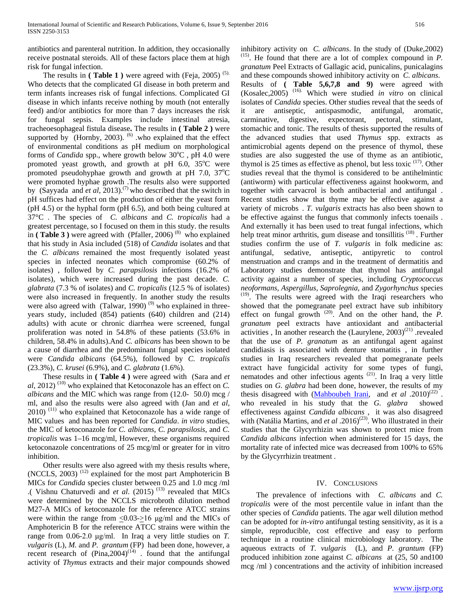antibiotics and parenteral nutrition. In addition, they occasionally receive postnatal steroids. All of these factors place them at high risk for fungal infection.

The results in  $($  Table 1  $)$  were agreed with  $(Feja, 2005)$ <sup> $(5)$ </sup>. Who detects that the complicated GI disease in both preterm and term infants increases risk of fungal infections. Complicated GI disease in which infants receive nothing by mouth (not enterally feed) and/or antibiotics for more than 7 days increases the risk for fungal sepsis. Examples include intestinal atresia, tracheoesophageal fistula disease**.** The results in **( Table 2 )** were supported by (Hornby, 2003). <sup>(6)</sup> who explained that the effect of environmental conditions as pH medium on morphological forms of *Candida* spp., where growth below 30°C, pH 4.0 were promoted yeast growth, and growth at pH 6.0, 35°C were promoted pseudohyphae growth and growth at pH 7.0, 37°C were promoted hyphae growth .The results also were supported by (Sayyada and *et al*, 2013).<sup>(7)</sup> who described that the switch in pH suffices had effect on the production of either the yeast form (pH 4.5) or the hyphal form (pH 6.5), and both being cultured at 37°C . The species of *C. albicans* and *C. tropicalis* had a greatest percentage, so I focused on them in this study. the results in (Table 3) were agreed with (Pfaller, 2006)<sup>(8)</sup> who explained that his study in Asia included (518) of *Candida* isolates and that the *C. albicans* remained the most frequently isolated yeast species in infected neonates which compromise (60.2% of isolates) , followed by *C. parapsilosis* infections (16.2% of isolates), which were increased during the past decade. *C. glabrata* (7.3 % of isolates) and *C. tropicalis* (12.5 % of isolates) were also increased in frequently. In another study the results were also agreed with (Talwar, 1990)<sup>(9)</sup> who explained in threeyears study, included (854) patients (640) children and (214) adults) with acute or chronic diarrhea were screened, fungal proliferation was noted in 54.8% of these patients (53.6% in children, 58.4% in adults).And *C. albicans* has been shown to be a cause of diarrhea and the predominant fungal species isolated were *Candida albicans* (64.5%), followed by *C. tropicalis*  (23.3%), *C. krusei* (6.9%), and *C. glabrata* (1.6%).

 These results in **( Table 4 )** were agreed with (Sara and *et*   $al$ , 2012)<sup>(10)</sup> who explained that Ketoconazole has an effect on *C*. *albicans* and the MIC which was range from (12.0- 50.0) mcg / ml, and also the results were also agreed with (Jan and *et al*, 2010)<sup>(11)</sup> who explained that Ketoconazole has a wide range of MIC values and has been reported for *Candida*. *in vitro* studies, the MIC of ketoconazole for *C. albicans*, *C. parapsilosis*, and *C. tropicalis* was 1–16 mcg/ml, However, these organisms required ketoconazole concentrations of 25 mcg/ml or greater for in vitro inhibition.

 Other results were also agreed with my thesis results where, (NCCLS, 2003)<sup>(12)</sup> explained for the most part Amphotericin B MICs for *Candida* species cluster between 0.25 and 1.0 mcg /ml .( Vishnu Chaturvedi and *et al.* (2015)<sup>(13)</sup> revealed that MICs were determined by the NCCLS microbroth dilution method M27-A MICs of ketoconazole for the reference ATCC strains were within the range from  $\langle 0.03 - 16 \mu g/m$  and the MICs of Amphotericin B for the reference ATCC strains were within the range from 0.06-2.0 μg/ml. In Iraq a very little studies on *T. vulgaris* (L), *M.* and *P. grantum* (FP) had been done, however, a recent research of  $(Pina, 2004)^{(14)}$  . found that the antifungal activity of *Thymus* extracts and their major compounds showed

inhibitory activity on *C. albicans*. In the study of (Duke, 2002)  $P<sup>(15)</sup>$ . He found that there are a lot of complex compound in *P*. *granatum* Peel Extracts of Gallagic acid, punicalins, punicalagins and these compounds showed inhibitory activity on *C. albicans*. Results of **( Table 5,6,7,8 and 9)** were agreed with (Kosalec, 2005)<sup>(16)</sup>. Which were studied *in vitro* on clinical isolates of *Candida* species. Other studies reveal that the seeds of it are antiseptic, antispasmodic, antifungal, aromatic, carminative, digestive, expectorant, pectoral, stimulant, stomachic and tonic. The results of thesis supported the results of the advanced studies that used *Thymus* spp. extracts as antimicrobial agents depend on the presence of thymol, these studies are also suggested the use of thyme as an antibiotic, thymol is 25 times as effective as phenol, but less toxic <sup>(17)</sup>. Other studies reveal that the thymol is considered to be antihelmintic (antiworm) with particular effectiveness against hookworm, and together with carvacrol is both antibacterial and antifungal . Recent studies show that thyme may be effective against a variety of microbs . T. vulgaris extracts has also been shown to be effective against the fungus that commonly infects toenails . And externally it has been used to treat fungal infections, which help treat minor arthritis, gum disease and tonsillitis<sup>(18)</sup>. Further studies confirm the use of *T. vulgaris* in folk medicine as: antifungal, sedative, antiseptic, antipyretic to control menstruation and cramps and in the treatment of dermatitis and Laboratory studies demonstrate that thymol has antifungal activity against a number of species, including *Cryptococcus neoformans, Aspergillus, Saprolegnia,* and *Zygorhynchus* species <sup>(19)</sup>. The results were agreed with the Iraqi researchers who showed that the pomegranate peel extract have sub inhibitory effect on fungal growth <sup>(20)</sup>. And on the other hand, the *P*. *granatum* peel extracts have antioxidant and antibacterial activities, In another research the (Laurylene, 2003)<sup>(21)</sup> revealed that the use of *P. granatum* as an antifungal agent against candidiasis is associated with denture stomatitis , in further studies in Iraq researchers revealed that pomegranate peels extract have fungicidal activity for some types of fungi, nematodes and other infectious agents<sup>(21)</sup>. In Iraq a very little studies on *G. glabra* had been done, however, the results of my thesis disagreed with  $(Mahboubeh \text{ Irani}, \text{ and } et \text{ al } .2010)^{(22)}$ . who revealed in his study that the *G. glabra* showed effectiveness against *Candida albicans* , it was also disagreed with (Natália Martins, and *et al* .2016)<sup>(23)</sup>. Who illustrated in their studies that the Glycyrrhizin was shown to protect mice from *Candida albicans* infection when administered for 15 days, the mortality rate of infected mice was decreased from 100% to 65% by the Glycyrrhizin treatment .

### IV. CONCLUSIONS

 The prevalence of infections with *C. albicans* and *C. tropicalis* were of the most percentile value in infant than the other species of *Candida* patients. The agar well dilution method can be adopted for *in-vitro* antifungal testing sensitivity, as it is a simple, reproducible, cost effective and easy to perform technique in a routine clinical microbiology laboratory.The aqueous extracts of *T. vulgaris* (L), and *P. grantum* (FP) produced inhibition zone against *C. albicans* at (25, 50 and100 mcg /ml ) concentrations and the activity of inhibition increased